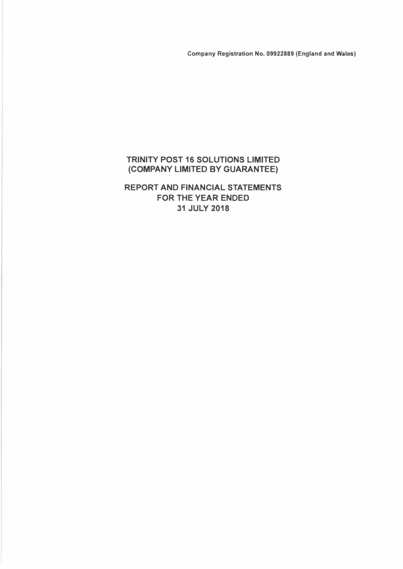Company Registration No. 09922889 (England and Wales)

### **TRINITY POST 16 SOLUTIONS LIMITED (COMPANY LIMITED BY GUARANTEE)**

### **REPORT AND FINANCIAL STATEMENTS FOR THE YEAR ENDED 31 JULY 2018**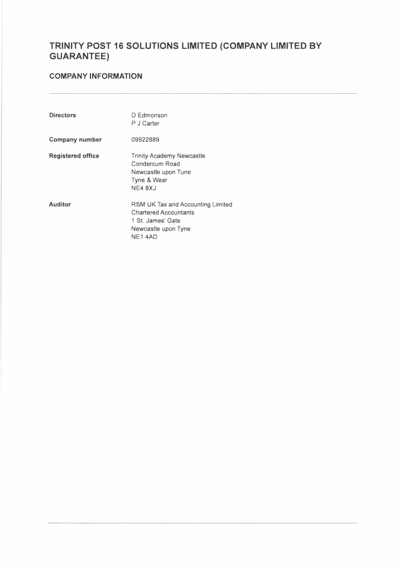### **COMPANY INFORMATION**

| <b>Directors</b>         | D Edmonson<br>P.J Carter                                                                                                       |
|--------------------------|--------------------------------------------------------------------------------------------------------------------------------|
| <b>Company number</b>    | 09922889                                                                                                                       |
| <b>Registered office</b> | <b>Trinity Academy Newcastle</b><br>Condercum Road<br>Newcastle upon Tune<br>Tyne & Wear<br><b>NF4 8XJ</b>                     |
| <b>Auditor</b>           | RSM UK Tax and Accounting Limited<br><b>Chartered Accountants</b><br>1 St. James' Gate<br>Newcastle upon Tyne<br><b>NE14AD</b> |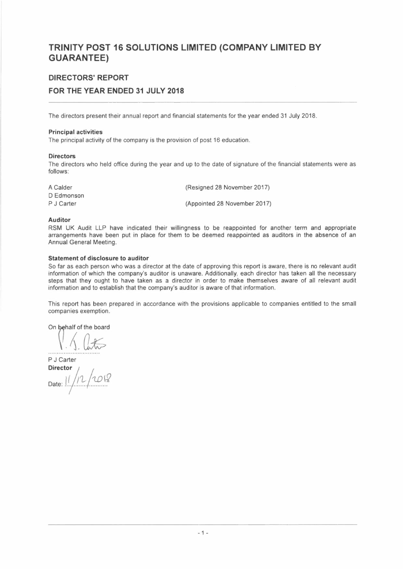# **DIRECTORS' REPORT**

### **FOR THE YEAR ENDED 31 JULY 2018**

The directors present their annual report and financial statements for the year ended 31 July 2018.

### **Principal activities**

The principal activity of the company is the provision of post 16 education.

### **Directors**

The directors who held office during the year and up to the date of signature of the financial statements were as follows:

| A Calder   | (Resigned 28 November 2017)  |
|------------|------------------------------|
| D Edmonson |                              |
| P J Carter | (Appointed 28 November 2017) |

### **Auditor**

RSM UK Audit LLP have indicated their willingness to be reappointed for another term and appropriate arrangements have been put in place for them to be deemed reappointed as auditors in the absence of an Annual General Meeting.

### **Statement of disclosure to auditor**

So far as each person who was a director at the date of approving this report is aware, there is no relevant audit information of which the company's auditor is unaware. Additionally, each director has taken all the necessary steps that they ought to have taken as a director in order to make themselves aware of all relevant audit information and to establish that the company's auditor is aware of that information.

This report has been prepared in accordance with the provisions applicable to companies entitled to the small companies exemption.

On behalf of the board

P J Carter *r: ~*  Date: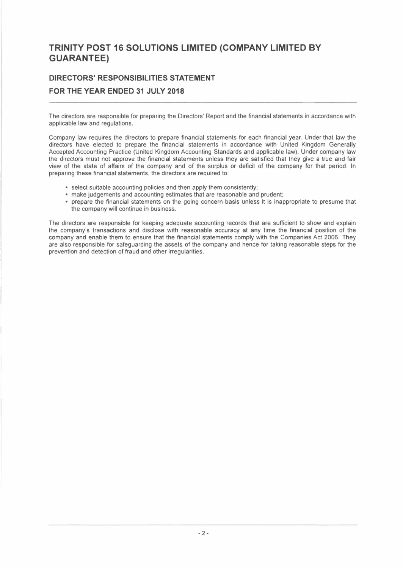## **DIRECTORS' RESPONSIBILITIES STATEMENT FOR THE YEAR ENDED 31 JULY 2018**

The directors are responsible for preparing the Directors' Report and the financial statements in accordance with applicable law and regulations.

Company law requires the directors to prepare financial statements for each financial year. Under that law the directors have elected to prepare the financial statements in accordance with United Kingdom Generally Accepted Accounting Practice (United Kingdom Accounting Standards and applicable law). Under company law the directors must not approve the financial statements unless they are satisfied that they give a true and fair view of the state of affairs of the company and of the surplus or deficit of the company for that period. In preparing these financial statements, the directors are required to:

- select suitable accounting policies and then apply them consistently;
- make judgements and accounting estimates that are reasonable and prudent;
- prepare the financial statements on the going concern basis unless it is inappropriate to presume that the company will continue in business.

The directors are responsible for keeping adequate accounting records that are sufficient to show and explain the company's transactions and disclose with reasonable accuracy at any time the financial position of the company and enable them to ensure that the financial statements comply with the Companies Act 2006. They are also responsible for safeguarding the assets of the company and hence for taking reasonable steps for the prevention and detection of fraud and other irregularities.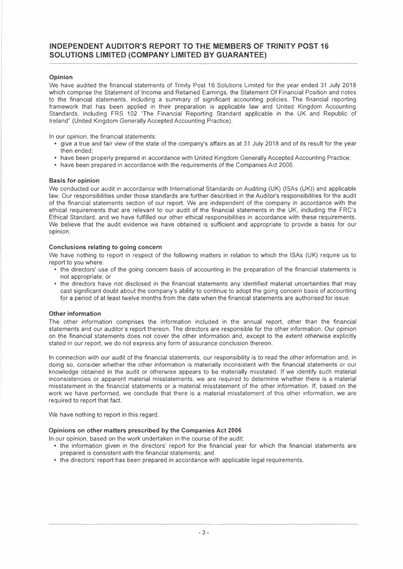### **INDEPENDENT AUDITOR'S REPORT TO THE MEMBERS OF TRINITY POST 16 SOLUTIONS LIMITED (COMPANY LIMITED BY GUARANTEE)**

### **Opinion**

We have audited the financial statements of Trinity Post 16 Solutions Limited for the year ended 31 July 2018 which comprise the Statement of Income and Retained Earnings, the Statement Of Financial Position and notes to the financial statements, including a summary of significant accounting policies. The financial reporting framework that has been applied in their preparation is applicable law and United Kingdom Accounting Standards, including FRS 102 "The Financial Reporting Standard applicable in the UK and Republic of Ireland" (United Kingdom Generally Accepted Accounting Practice).

In our opinion, the financial statements:

- give a true and fair view of the state of the company's affairs as at 31 July 2018 and of its result for the year then ended;
- have been properly prepared in accordance with United Kingdom Generally Accepted Accounting Practice;
- have been prepared in accordance with the requirements of the Companies Act 2006.

### **Basis for opinion**

We conducted our audit in accordance with International Standards on Auditing (UK) (lSAs (UK)) and applicable law. Our responsibilities under those standards are further described in the Auditor's responsibilities for the audit of the financial statements section of our report. We are independent of the company in accordance with the ethical requirements that are relevant to our audit of the financial statements in the UK, including the FRC's Ethical Standard, and we have fulfilled our other ethical responsibilities in accordance with these requirements. We believe that the audit evidence we have obtained is sufficient and appropriate to provide a basis for our opinion.

### **Conclusions relating to going concern**

We have nothing to report in respect of the following matters in relation to which the ISAs (UK) require us to report to you where:

- the directors' use of the going concern basis of accounting in the preparation of the financial statements is not appropriate; or
- the directors have not disclosed in the financial statements any identified material uncertainties that may cast significant doubt about the company's ability to continue to adopt the going concern basis of accounting for a period of at least twelve months from the date when the financial statements are authorised for issue.

### **Other information**

The other information comprises the information included in the annual report, other than the financial statements and our auditor's report thereon. The directors are responsible for the other information. Our opinion on the financial statements does not cover the other information and, except to the extent otherwise explicitly stated in our report, we do not express any form of assurance conclusion thereon.

In connection with our audit of the financial statements, our responsibility is to read the other information and, in doing so, consider whether the other information is materially inconsistent with the financial statements or our knowledge obtained in the audit or otherwise appears to be materially misstated. If we identify such material inconsistencies or apparent material misstatements, we are required to determine whether there is a material misstatement in the financial statements or a material misstatement of the other information. If, based on the work we have performed, we conclude that there is a material misstatement of this other information, we are required to report that fact.

We have nothing to report in this regard.

### **Opinions on other matters prescribed by the Companies Act 2006**

In our opinion, based on the work undertaken in the course of the audit:

- the information given in the directors' report for the financial year for which the financial statements are prepared is consistent with the financial statements; and
- the directors' report has been prepared in accordance with applicable legal requirements.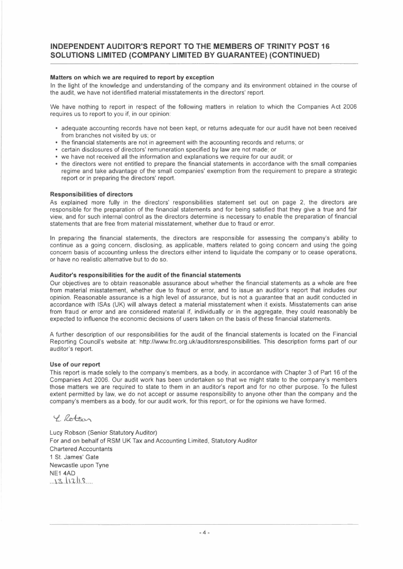### **INDEPENDENT AUDITOR'S REPORT TO THE MEMBERS OF TRINITY POST 16 SOLUTIONS LIMITED (COMPANY LIMITED BY GUARANTEE) (CONTINUED)**

### **Matters on which we are required to report by exception**

In the light of the knowledge and understanding of the company and its environment obtained in the course of the audit, we have not identified material misstatements in the directors' report.

We have nothing to report in respect of the following matters in relation to which the Companies Act 2006 requires us to report to you if, in our opinion:

- adequate accounting records have not been kept, or returns adequate for our audit have not been received from branches not visited by us; or
- the financial statements are not in agreement with the accounting records and returns; or
- certain disclosures of directors' remuneration specified by law are not made; or
- we have not received all the information and explanations we require for our audit; or
- the directors were not entitled to prepare the financial statements in accordance with the small companies regime and take advantage of the small companies' exemption from the requirement to prepare a strategic report or in preparing the directors' report.

#### **Responsibilities of directors**

As explained more fully in the directors' responsibilities statement set out on page 2, the directors are responsible for the preparation of the financial statements and for being satisfied that they give a true and fair view, and for such internal control as the directors determine is necessary to enable the preparation of financial statements that are free from material misstatement, whether due to fraud or error.

In preparing the financial statements, the directors are responsible for assessing the company's ability to continue as a going concern, disclosing, as applicable, matters related to going concern and using the going concern basis of accounting unless the directors either intend to liquidate the company or to cease operations, or have no realistic alternative but to do so.

#### **Auditor's responsibilities for the audit of the financial statements**

Our objectives are to obtain reasonable assurance about whether the financial statements as a whole are free from material misstatement, whether due to fraud or error, and to issue an auditor's report that includes our opinion. Reasonable assurance is a high level of assurance, but is not a guarantee that an audit conducted in accordance with ISAs (UK) will always detect a material misstatement when it exists. Misstatements can arise from fraud or error and are considered material if, individually or in the aggregate, they could reasonably be expected to influence the economic decisions of users taken on the basis of these financial statements.

A further description of our responsibilities for the audit of the financial statements is located on the Financial Reporting Council's website at: http://www.frc.org.uklauditorsresponsibilities.This description forms part of our auditor's report.

#### **Use of our report**

This report is made solely to the company's members, as a body, in accordance with Chapter 3 of Part 16 of the Companies Act 2006. Our audit work has been undertaken so that we might state to the company's members those matters we are required to state to them in an auditor's report and for no other purpose. To the fullest extent permitted by law, we do not accept or assume responsibility to anyone other than the company and the company's members as a body, for our audit work, for this report, or for the opinions we have formed.

4. Roton

Lucy Robson (Senior Statutory Auditor) For and on behalf of RSM UK Tax and Accounting Limited, Statutory Auditor Chartered Accountants <sup>1</sup>St. James' Gate Newcastle upon Tyne NE14AD  $.13.112118...$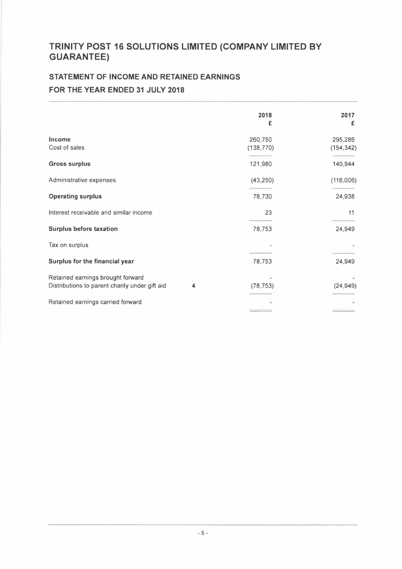## **STATEMENT OF INCOME AND RETAINED EARNINGS FOR THE YEAR ENDED 31 JULY 2018**

|                                                                                          | 2018<br>£             | 2017<br>£             |
|------------------------------------------------------------------------------------------|-----------------------|-----------------------|
| Income<br>Cost of sales                                                                  | 260,750<br>(138, 770) | 295,286<br>(154, 342) |
| <b>Gross surplus</b>                                                                     | 121,980               | 140,944               |
| Administrative expenses                                                                  | (43, 250)             | (116,006)             |
| <b>Operating surplus</b>                                                                 | 78,730                | 24,938                |
| Interest receivable and similar income                                                   | 23                    | 11                    |
| <b>Surplus before taxation</b>                                                           | 78,753                | 24,949                |
| Tax on surplus                                                                           |                       |                       |
| Surplus for the financial year                                                           | 78,753                | 24,949                |
| Retained earnings brought forward<br>Distributions to parent charity under gift aid<br>4 | (78, 753)             | (24, 949)             |
| Retained earnings carried forward                                                        |                       |                       |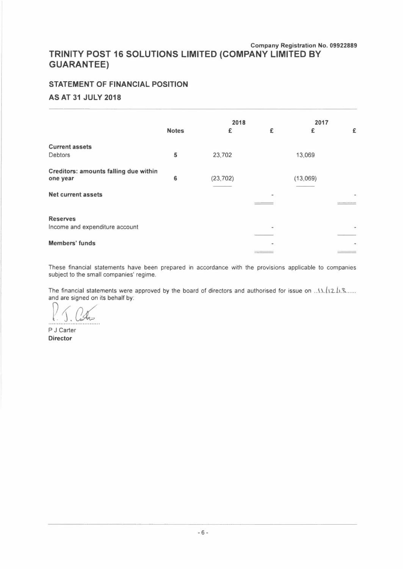### **Company Registration No. 09922889 TRINITY POST 16 SOLUTIONS LIMITED (COMPANY LIMITED BY GUARANTEE)**

### **STATEMENT OF FINANCIAL POSITION**

### **AS AT 31 JULY 2018**

|                                              |              | 2018      |   | 2017     |   |
|----------------------------------------------|--------------|-----------|---|----------|---|
|                                              | <b>Notes</b> | £         | £ | £        | £ |
| <b>Current assets</b>                        |              |           |   |          |   |
| <b>Debtors</b>                               | 5            | 23,702    |   | 13,069   |   |
| <b>Creditors: amounts falling due within</b> |              |           |   |          |   |
| one year                                     | 6            | (23, 702) |   | (13,069) |   |
| <b>Net current assets</b>                    |              |           |   |          |   |
|                                              |              |           |   |          |   |
| <b>Reserves</b>                              |              |           |   |          |   |
| Income and expenditure account               |              |           |   |          |   |
|                                              |              |           |   |          |   |
| <b>Members' funds</b>                        |              |           |   |          |   |
|                                              |              |           |   |          |   |

These financial statements have been prepared in accordance with the provisions applicable to companies subject to the small companies' regime.

The financial statements were approved by the board of directors and authorised for issue on ... *1.1. 1.2. I.f.* ......

and are signed on its behalf by:<br>  $\bigcap_{n=1}^{\infty}$   $\bigcap_{n=1}^{\infty}$ 

p J Carter **Director**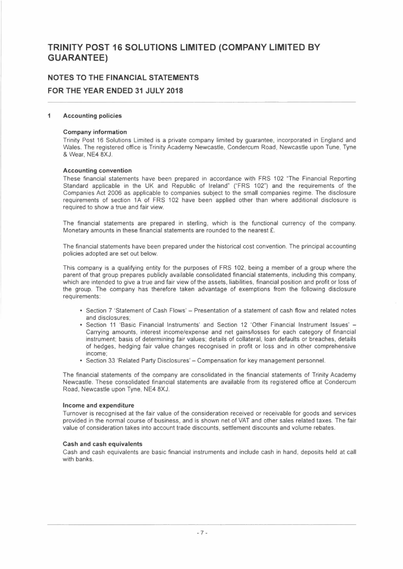## **NOTES TO THE FINANCIAL STATEMENTS FOR THE YEAR ENDED 31 JULY 2018**

### **1 Accounting policies**

### **Company information**

Trinity Post 16 Solutions Limited is a private company limited by guarantee, incorporated in England and Wales. The registered office is Trinity Academy Newcastle, Condercum Road, Newcastle upon Tune, Tyne & Wear, NE4 8XJ.

#### **Accounting convention**

These financial statements have been prepared in accordance with FRS 102 "The Financial Reporting Standard applicable in the UK and Republic of Ireland" ("FRS 102") and the requirements of the Companies Act 2006 as applicable to companies subject to the small companies regime. The disclosure requirements of section 1A of FRS 102 have been applied other than where additional disclosure is required to show a true and fair view.

The financial statements are prepared in sterling, which is the functional currency of the company. Monetary amounts in these financial statements are rounded to the nearest £.

The financial statements have been prepared under the historical cost convention. The principal accounting policies adopted are set out below.

This company is a qualifying entity for the purposes of FRS 102, being a member of a group where the parent of that group prepares publicly available consolidated financial statements, including this company, which are intended to give a true and fair view of the assets, liabilities, financial position and profit or loss of the group. The company has therefore taken advantage of exemptions from the following disclosure requirements:

- Section 7 'Statement of Cash Flows' Presentation of a statement of cash flow and related notes and disclosures;
- Section 11 'Basic Financial Instruments' and Section 12 'Other Financial Instrument Issues' Carrying amounts, interest income/expense and net gains/losses for each category of financial instrument; basis of determining fair values; details of collateral, loan defaults or breaches, details of hedges, hedging fair value changes recognised in profit or loss and in other comprehensive income;
- Section 33 'Related Party Disclosures' Compensation for key management personnel.

The financial statements of the company are consolidated in the financial statements of Trinity Academy Newcastle. These consolidated financial statements are available from its registered office at Condercum Road, Newcastle upon Tyne, NE4 8XJ.

#### **Income and expenditure**

Turnover is recognised at the fair value of the consideration received or receivable for goods and services provided in the normal course of business, and is shown net of VAT and other sales related taxes. The fair value of consideration takes into account trade discounts, settlement discounts and volume rebates.

### **Cash and cash equivalents**

Cash and cash equivalents are basic financial instruments and include cash in hand, deposits held at call with banks.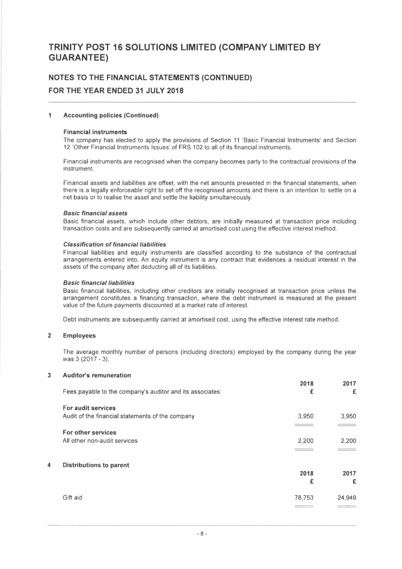## **NOTES TO THE FINANCIAL STATEMENTS (CONTINUED) FOR THE YEAR ENDED 31 JULY 2018**

### **1 Accounting policies (Continued)**

### **Financial instruments**

The company has elected to apply the provisions of Section 11 'Basic Financial Instruments' and Section 12 'Other Financial Instruments Issues' of FRS 102 to all of its financial instruments.

Financial instruments are recognised when the company becomes party to the contractual provisions of the instrument.

Financial assets and liabilities are offset, with the net amounts presented in the financial statements, when there is a legally enforceable right to set off the recognised amounts and there is an intention to settle on a net basis or to realise the asset and settle the liability simultaneously.

#### *Basic financial assets*

Basic financial assets, which include other debtors, are initially measured at transaction price including transaction costs and are subsequently carried at amortised cost using the effective interest method.

#### *Classification of financial liabilities*

Financial liabilities and equity instruments are classified according to the substance of the contractual arrangements entered into. An equity instrument is any contract that evidences a residual interest in the assets of the company after deducting all of its liabilities.

#### *Basic financial liabilities*

Basic financial liabilities, including other creditors are initially recognised at transaction price unless the arrangement constitutes a financing transaction, where the debt instrument is measured at the present value of the future payments discounted at a market rate of interest.

Debt instruments are subsequently carried at amortised cost, using the effective interest rate method.

### **2 Employees**

The average monthly number of persons (including directors) employed by the company during the year was 3 (2017 - 3).

| $\overline{\mathbf{3}}$ | <b>Auditor's remuneration</b>                                                 |           |           |
|-------------------------|-------------------------------------------------------------------------------|-----------|-----------|
|                         | Fees payable to the company's auditor and its associates:                     | 2018<br>£ | 2017<br>£ |
|                         | <b>For audit services</b><br>Audit of the financial statements of the company | 3,950     | 3,950     |
|                         | For other services<br>All other non-audit services                            | 2.200     | 2,200     |
| 4                       | <b>Distributions to parent</b>                                                | 2018<br>£ | 2017<br>£ |
|                         | Gift aid                                                                      | 78,753    | 24,949    |